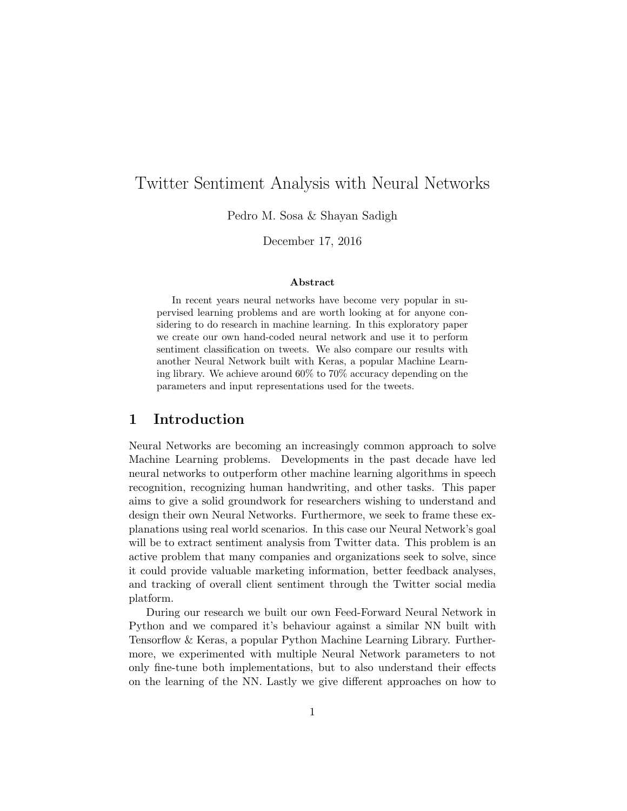# Twitter Sentiment Analysis with Neural Networks

Pedro M. Sosa & Shayan Sadigh

December 17, 2016

#### Abstract

In recent years neural networks have become very popular in supervised learning problems and are worth looking at for anyone considering to do research in machine learning. In this exploratory paper we create our own hand-coded neural network and use it to perform sentiment classification on tweets. We also compare our results with another Neural Network built with Keras, a popular Machine Learning library. We achieve around 60% to 70% accuracy depending on the parameters and input representations used for the tweets.

# 1 Introduction

Neural Networks are becoming an increasingly common approach to solve Machine Learning problems. Developments in the past decade have led neural networks to outperform other machine learning algorithms in speech recognition, recognizing human handwriting, and other tasks. This paper aims to give a solid groundwork for researchers wishing to understand and design their own Neural Networks. Furthermore, we seek to frame these explanations using real world scenarios. In this case our Neural Network's goal will be to extract sentiment analysis from Twitter data. This problem is an active problem that many companies and organizations seek to solve, since it could provide valuable marketing information, better feedback analyses, and tracking of overall client sentiment through the Twitter social media platform.

During our research we built our own Feed-Forward Neural Network in Python and we compared it's behaviour against a similar NN built with Tensorflow & Keras, a popular Python Machine Learning Library. Furthermore, we experimented with multiple Neural Network parameters to not only fine-tune both implementations, but to also understand their effects on the learning of the NN. Lastly we give different approaches on how to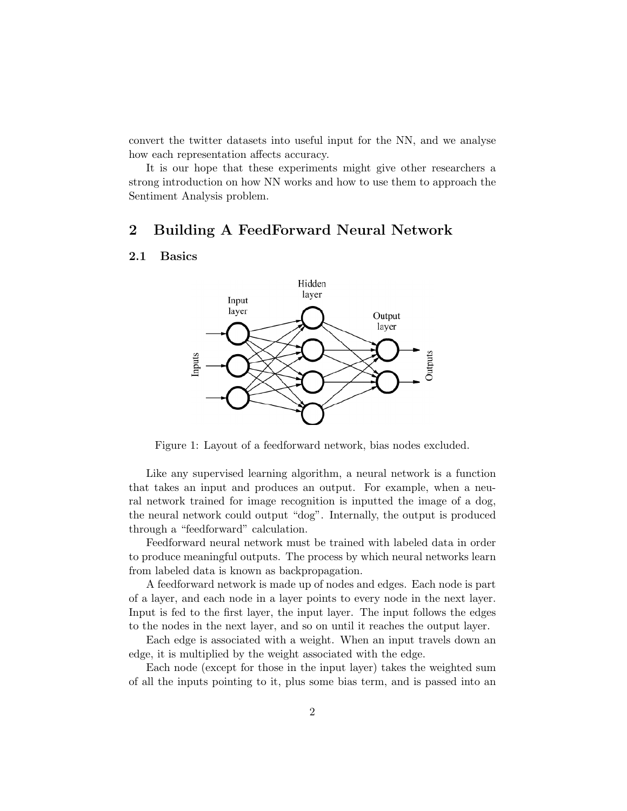convert the twitter datasets into useful input for the NN, and we analyse how each representation affects accuracy.

It is our hope that these experiments might give other researchers a strong introduction on how NN works and how to use them to approach the Sentiment Analysis problem.

# 2 Building A FeedForward Neural Network

#### 2.1 Basics



Figure 1: Layout of a feedforward network, bias nodes excluded.

Like any supervised learning algorithm, a neural network is a function that takes an input and produces an output. For example, when a neural network trained for image recognition is inputted the image of a dog, the neural network could output "dog". Internally, the output is produced through a "feedforward" calculation.

Feedforward neural network must be trained with labeled data in order to produce meaningful outputs. The process by which neural networks learn from labeled data is known as backpropagation.

A feedforward network is made up of nodes and edges. Each node is part of a layer, and each node in a layer points to every node in the next layer. Input is fed to the first layer, the input layer. The input follows the edges to the nodes in the next layer, and so on until it reaches the output layer.

Each edge is associated with a weight. When an input travels down an edge, it is multiplied by the weight associated with the edge.

Each node (except for those in the input layer) takes the weighted sum of all the inputs pointing to it, plus some bias term, and is passed into an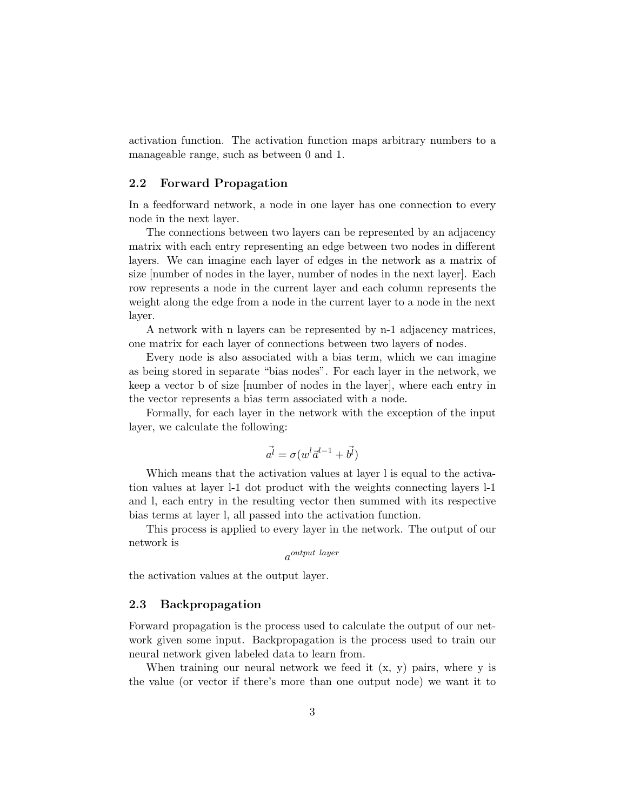activation function. The activation function maps arbitrary numbers to a manageable range, such as between 0 and 1.

### 2.2 Forward Propagation

In a feedforward network, a node in one layer has one connection to every node in the next layer.

The connections between two layers can be represented by an adjacency matrix with each entry representing an edge between two nodes in different layers. We can imagine each layer of edges in the network as a matrix of size [number of nodes in the layer, number of nodes in the next layer]. Each row represents a node in the current layer and each column represents the weight along the edge from a node in the current layer to a node in the next layer.

A network with n layers can be represented by n-1 adjacency matrices, one matrix for each layer of connections between two layers of nodes.

Every node is also associated with a bias term, which we can imagine as being stored in separate "bias nodes". For each layer in the network, we keep a vector b of size [number of nodes in the layer], where each entry in the vector represents a bias term associated with a node.

Formally, for each layer in the network with the exception of the input layer, we calculate the following:

$$
\vec{a^l} = \sigma(w^l \vec{a}^{l-1} + \vec{b^l})
$$

Which means that the activation values at layer l is equal to the activation values at layer l-1 dot product with the weights connecting layers l-1 and l, each entry in the resulting vector then summed with its respective bias terms at layer l, all passed into the activation function.

This process is applied to every layer in the network. The output of our network is

a output layer

the activation values at the output layer.

#### 2.3 Backpropagation

Forward propagation is the process used to calculate the output of our network given some input. Backpropagation is the process used to train our neural network given labeled data to learn from.

When training our neural network we feed it  $(x, y)$  pairs, where y is the value (or vector if there's more than one output node) we want it to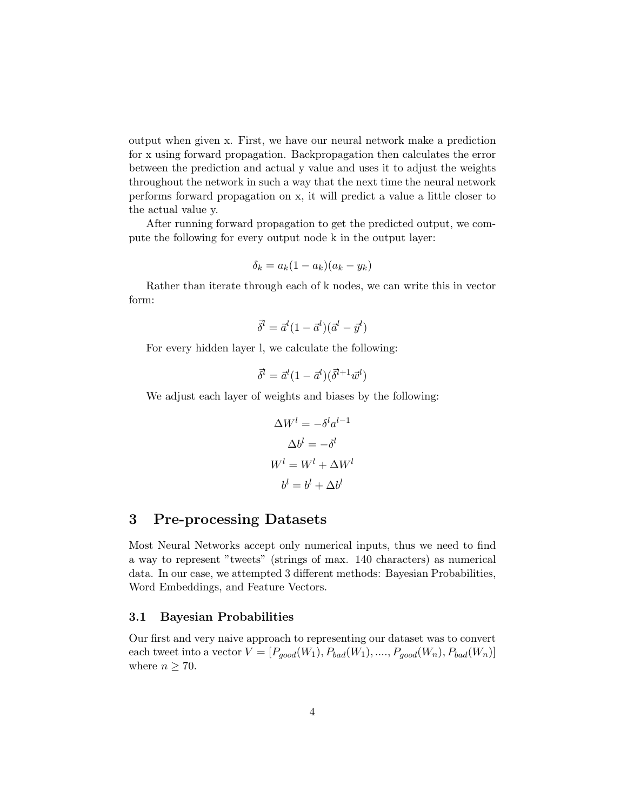output when given x. First, we have our neural network make a prediction for x using forward propagation. Backpropagation then calculates the error between the prediction and actual y value and uses it to adjust the weights throughout the network in such a way that the next time the neural network performs forward propagation on x, it will predict a value a little closer to the actual value y.

After running forward propagation to get the predicted output, we compute the following for every output node k in the output layer:

$$
\delta_k = a_k (1 - a_k)(a_k - y_k)
$$

Rather than iterate through each of k nodes, we can write this in vector form:

$$
\vec{\delta}^l = \vec{a}^l (1 - \vec{a}^l)(\vec{a}^l - \vec{y}^l)
$$

For every hidden layer l, we calculate the following:

$$
\vec{\delta}^l = \vec{a}^l (1 - \vec{a}^l)(\vec{\delta}^{l+1} \vec{w}^l)
$$

We adjust each layer of weights and biases by the following:

$$
\Delta W^{l} = -\delta^{l} a^{l-1}
$$

$$
\Delta b^{l} = -\delta^{l}
$$

$$
W^{l} = W^{l} + \Delta W^{l}
$$

$$
b^{l} = b^{l} + \Delta b^{l}
$$

# 3 Pre-processing Datasets

Most Neural Networks accept only numerical inputs, thus we need to find a way to represent "tweets" (strings of max. 140 characters) as numerical data. In our case, we attempted 3 different methods: Bayesian Probabilities, Word Embeddings, and Feature Vectors.

### 3.1 Bayesian Probabilities

Our first and very naive approach to representing our dataset was to convert each tweet into a vector  $V = [P_{good}(W_1), P_{bad}(W_1), ..., P_{good}(W_n), P_{bad}(W_n)]$ where  $n \geq 70$ .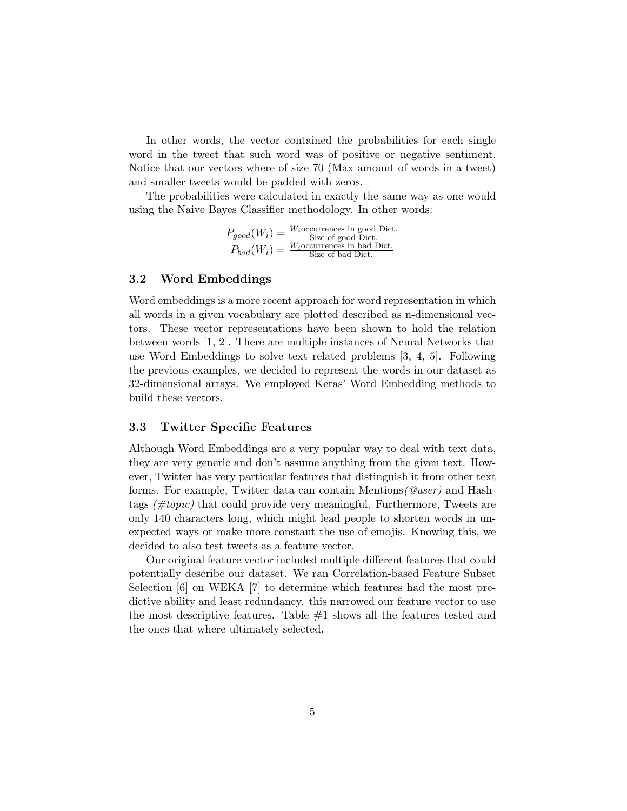In other words, the vector contained the probabilities for each single word in the tweet that such word was of positive or negative sentiment. Notice that our vectors where of size 70 (Max amount of words in a tweet) and smaller tweets would be padded with zeros.

The probabilities were calculated in exactly the same way as one would using the Naive Bayes Classifier methodology. In other words:

> $P_{good}(W_i) = \frac{W_i$ occurrences in good Dict.  $P_{bad}(W_i) = \frac{W_i$ occurrences in bad Dict.

### 3.2 Word Embeddings

Word embeddings is a more recent approach for word representation in which all words in a given vocabulary are plotted described as n-dimensional vectors. These vector representations have been shown to hold the relation between words [1, 2]. There are multiple instances of Neural Networks that use Word Embeddings to solve text related problems [3, 4, 5]. Following the previous examples, we decided to represent the words in our dataset as 32-dimensional arrays. We employed Keras' Word Embedding methods to build these vectors.

### 3.3 Twitter Specific Features

Although Word Embeddings are a very popular way to deal with text data, they are very generic and don't assume anything from the given text. However, Twitter has very particular features that distinguish it from other text forms. For example, Twitter data can contain Mentions(@user) and Hashtags  $(\text{#topic})$  that could provide very meaningful. Furthermore, Tweets are only 140 characters long, which might lead people to shorten words in unexpected ways or make more constant the use of emojis. Knowing this, we decided to also test tweets as a feature vector.

Our original feature vector included multiple different features that could potentially describe our dataset. We ran Correlation-based Feature Subset Selection [6] on WEKA [7] to determine which features had the most predictive ability and least redundancy. this narrowed our feature vector to use the most descriptive features. Table  $#1$  shows all the features tested and the ones that where ultimately selected.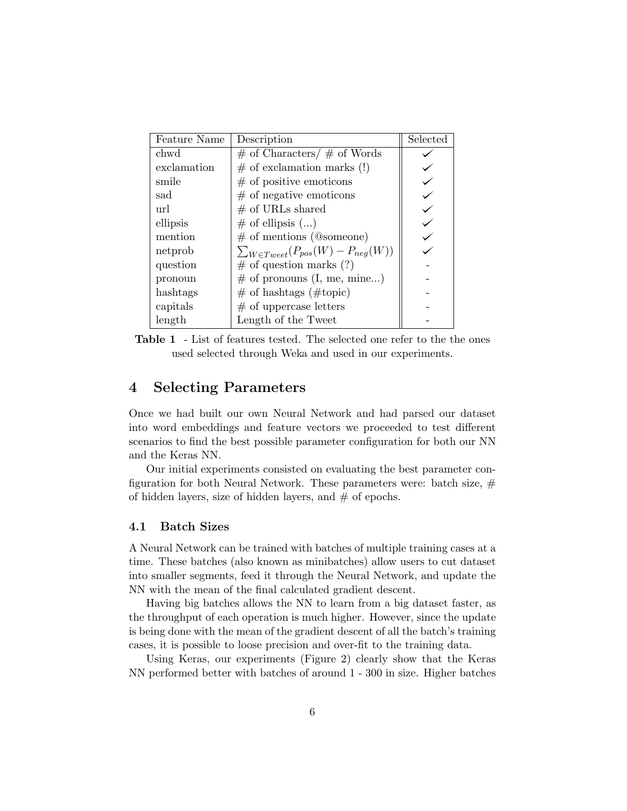| <b>Feature Name</b> | Description                                    | Selected |
|---------------------|------------------------------------------------|----------|
| chwd                | $\#$ of Characters/ $\#$ of Words              |          |
| exclamation         | $\#$ of exclamation marks (!)                  |          |
| smile               | $\#$ of positive emoticons                     |          |
| sad                 | $\#$ of negative emoticons                     |          |
| url                 | $#$ of URLs shared                             |          |
| ellipsis            | $\#$ of ellipsis $()$                          |          |
| mention             | $\#$ of mentions (@someone)                    |          |
| netprob             | $\sum_{W \in Typeet}(P_{pos}(W) - P_{neg}(W))$ |          |
| question            | $\#$ of question marks (?)                     |          |
| pronoun             | $\#$ of pronouns (I, me, mine)                 |          |
| hashtags            | $\#$ of hashtags ( $\#$ topic)                 |          |
| capitals            | $#$ of uppercase letters                       |          |
| length              | Length of the Tweet                            |          |

Table 1 - List of features tested. The selected one refer to the the ones used selected through Weka and used in our experiments.

# 4 Selecting Parameters

Once we had built our own Neural Network and had parsed our dataset into word embeddings and feature vectors we proceeded to test different scenarios to find the best possible parameter configuration for both our NN and the Keras NN.

Our initial experiments consisted on evaluating the best parameter configuration for both Neural Network. These parameters were: batch size,  $#$ of hidden layers, size of hidden layers, and  $#$  of epochs.

### 4.1 Batch Sizes

A Neural Network can be trained with batches of multiple training cases at a time. These batches (also known as minibatches) allow users to cut dataset into smaller segments, feed it through the Neural Network, and update the NN with the mean of the final calculated gradient descent.

Having big batches allows the NN to learn from a big dataset faster, as the throughput of each operation is much higher. However, since the update is being done with the mean of the gradient descent of all the batch's training cases, it is possible to loose precision and over-fit to the training data.

Using Keras, our experiments (Figure 2) clearly show that the Keras NN performed better with batches of around 1 - 300 in size. Higher batches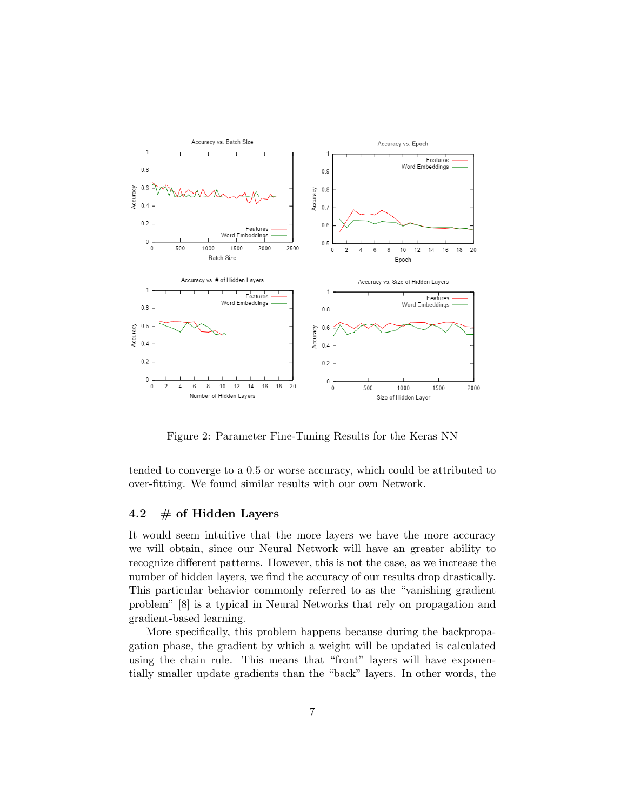

Figure 2: Parameter Fine-Tuning Results for the Keras NN

tended to converge to a 0.5 or worse accuracy, which could be attributed to over-fitting. We found similar results with our own Network.

### 4.2  $\#$  of Hidden Layers

It would seem intuitive that the more layers we have the more accuracy we will obtain, since our Neural Network will have an greater ability to recognize different patterns. However, this is not the case, as we increase the number of hidden layers, we find the accuracy of our results drop drastically. This particular behavior commonly referred to as the "vanishing gradient problem" [8] is a typical in Neural Networks that rely on propagation and gradient-based learning.

More specifically, this problem happens because during the backpropagation phase, the gradient by which a weight will be updated is calculated using the chain rule. This means that "front" layers will have exponentially smaller update gradients than the "back" layers. In other words, the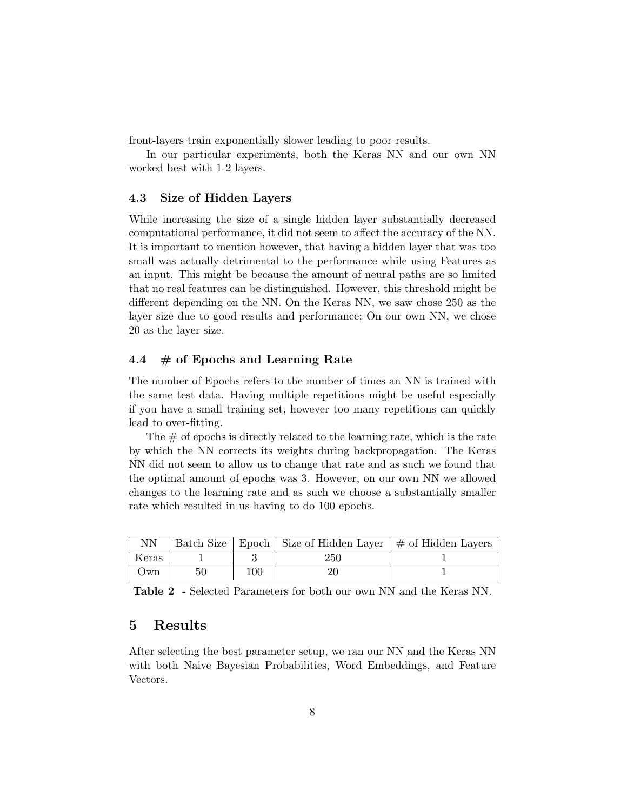front-layers train exponentially slower leading to poor results.

In our particular experiments, both the Keras NN and our own NN worked best with 1-2 layers.

#### 4.3 Size of Hidden Layers

While increasing the size of a single hidden layer substantially decreased computational performance, it did not seem to affect the accuracy of the NN. It is important to mention however, that having a hidden layer that was too small was actually detrimental to the performance while using Features as an input. This might be because the amount of neural paths are so limited that no real features can be distinguished. However, this threshold might be different depending on the NN. On the Keras NN, we saw chose 250 as the layer size due to good results and performance; On our own NN, we chose 20 as the layer size.

## 4.4  $\#$  of Epochs and Learning Rate

The number of Epochs refers to the number of times an NN is trained with the same test data. Having multiple repetitions might be useful especially if you have a small training set, however too many repetitions can quickly lead to over-fitting.

The  $\#$  of epochs is directly related to the learning rate, which is the rate by which the NN corrects its weights during backpropagation. The Keras NN did not seem to allow us to change that rate and as such we found that the optimal amount of epochs was 3. However, on our own NN we allowed changes to the learning rate and as such we choose a substantially smaller rate which resulted in us having to do 100 epochs.

| NΝ    |    |     | Batch Size   Epoch   Size of Hidden Layer   $\#$ of Hidden Layers |  |
|-------|----|-----|-------------------------------------------------------------------|--|
| Keras |    |     | 250                                                               |  |
| Own   | 50 | 100 |                                                                   |  |

Table 2 - Selected Parameters for both our own NN and the Keras NN.

# 5 Results

After selecting the best parameter setup, we ran our NN and the Keras NN with both Naive Bayesian Probabilities, Word Embeddings, and Feature Vectors.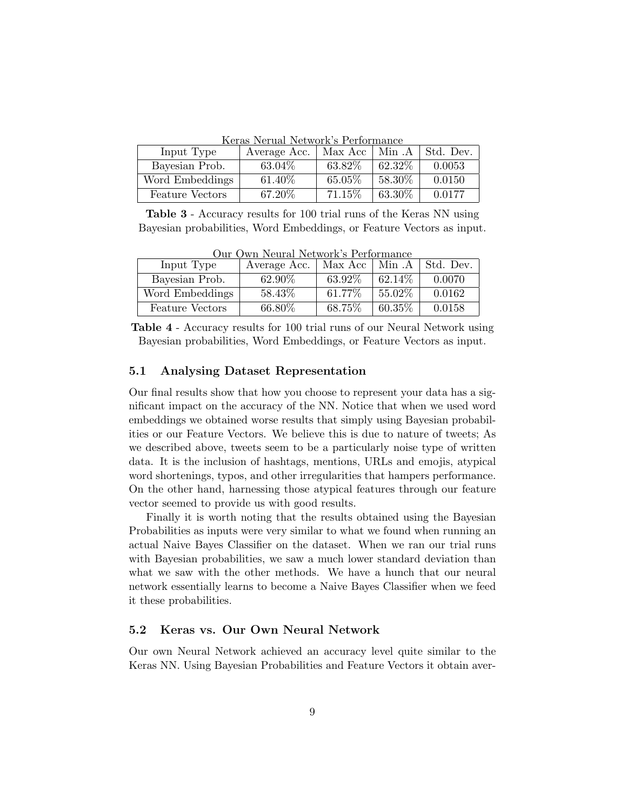Keras Nerual Network's Performance

| Input Type             | Average Acc. | Max Acc | Min .A    | Std. Dev. |
|------------------------|--------------|---------|-----------|-----------|
| Bayesian Prob.         | 63.04\%      | 63.82%  | 62.32\%   | 0.0053    |
| Word Embeddings        | 61.40\%      | 65.05%  | $58.30\%$ | 0.0150    |
| <b>Feature Vectors</b> | 67.20%       | 71.15%  | $63.30\%$ | 0.0177    |

Table 3 - Accuracy results for 100 trial runs of the Keras NN using Bayesian probabilities, Word Embeddings, or Feature Vectors as input.

| Input Type             | Average Acc. | Max Acc   Min.A |           | Std. Dev. |
|------------------------|--------------|-----------------|-----------|-----------|
| Bayesian Prob.         | 62.90%       | 63.92%          | 62.14\%   | 0.0070    |
| Word Embeddings        | 58.43\%      | 61.77%          | $55.02\%$ | 0.0162    |
| <b>Feature Vectors</b> | 66.80%       | 68.75%          | $60.35\%$ | 0.0158    |

Our Own Neural Network's Performance

Table 4 - Accuracy results for 100 trial runs of our Neural Network using Bayesian probabilities, Word Embeddings, or Feature Vectors as input.

### 5.1 Analysing Dataset Representation

Our final results show that how you choose to represent your data has a significant impact on the accuracy of the NN. Notice that when we used word embeddings we obtained worse results that simply using Bayesian probabilities or our Feature Vectors. We believe this is due to nature of tweets; As we described above, tweets seem to be a particularly noise type of written data. It is the inclusion of hashtags, mentions, URLs and emojis, atypical word shortenings, typos, and other irregularities that hampers performance. On the other hand, harnessing those atypical features through our feature vector seemed to provide us with good results.

Finally it is worth noting that the results obtained using the Bayesian Probabilities as inputs were very similar to what we found when running an actual Naive Bayes Classifier on the dataset. When we ran our trial runs with Bayesian probabilities, we saw a much lower standard deviation than what we saw with the other methods. We have a hunch that our neural network essentially learns to become a Naive Bayes Classifier when we feed it these probabilities.

### 5.2 Keras vs. Our Own Neural Network

Our own Neural Network achieved an accuracy level quite similar to the Keras NN. Using Bayesian Probabilities and Feature Vectors it obtain aver-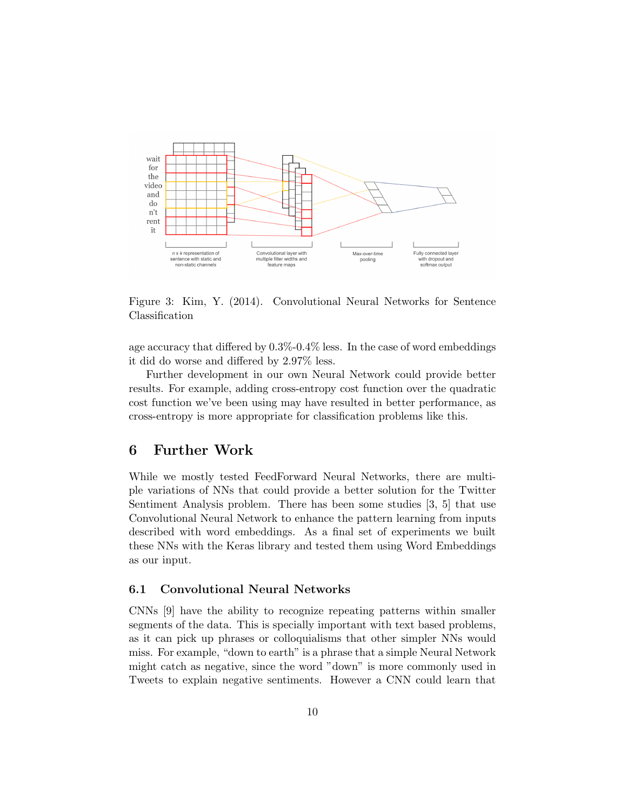

Figure 3: Kim, Y. (2014). Convolutional Neural Networks for Sentence Classification

age accuracy that differed by 0.3%-0.4% less. In the case of word embeddings it did do worse and differed by 2.97% less.

Further development in our own Neural Network could provide better results. For example, adding cross-entropy cost function over the quadratic cost function we've been using may have resulted in better performance, as cross-entropy is more appropriate for classification problems like this.

## 6 Further Work

While we mostly tested FeedForward Neural Networks, there are multiple variations of NNs that could provide a better solution for the Twitter Sentiment Analysis problem. There has been some studies [3, 5] that use Convolutional Neural Network to enhance the pattern learning from inputs described with word embeddings. As a final set of experiments we built these NNs with the Keras library and tested them using Word Embeddings as our input.

#### 6.1 Convolutional Neural Networks

CNNs [9] have the ability to recognize repeating patterns within smaller segments of the data. This is specially important with text based problems, as it can pick up phrases or colloquialisms that other simpler NNs would miss. For example, "down to earth" is a phrase that a simple Neural Network might catch as negative, since the word "down" is more commonly used in Tweets to explain negative sentiments. However a CNN could learn that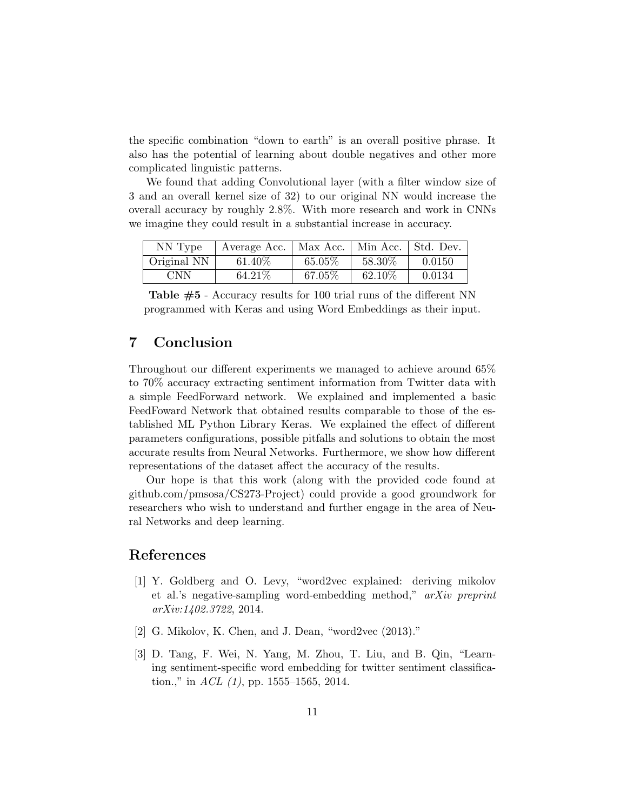the specific combination "down to earth" is an overall positive phrase. It also has the potential of learning about double negatives and other more complicated linguistic patterns.

We found that adding Convolutional layer (with a filter window size of 3 and an overall kernel size of 32) to our original NN would increase the overall accuracy by roughly 2.8%. With more research and work in CNNs we imagine they could result in a substantial increase in accuracy.

| NN Type     | Average Acc. | Max Acc. |           | Min Acc.   Std. Dev. |
|-------------|--------------|----------|-----------|----------------------|
| Original NN | 61.40\%      | 65.05%   | $58.30\%$ | 0.0150               |
| <b>CNN</b>  | 64.21\%      | 67.05%   | 62.10\%   | 0.0134               |

Table #5 - Accuracy results for 100 trial runs of the different NN programmed with Keras and using Word Embeddings as their input.

# 7 Conclusion

Throughout our different experiments we managed to achieve around 65% to 70% accuracy extracting sentiment information from Twitter data with a simple FeedForward network. We explained and implemented a basic FeedFoward Network that obtained results comparable to those of the established ML Python Library Keras. We explained the effect of different parameters configurations, possible pitfalls and solutions to obtain the most accurate results from Neural Networks. Furthermore, we show how different representations of the dataset affect the accuracy of the results.

Our hope is that this work (along with the provided code found at github.com/pmsosa/CS273-Project) could provide a good groundwork for researchers who wish to understand and further engage in the area of Neural Networks and deep learning.

# References

- [1] Y. Goldberg and O. Levy, "word2vec explained: deriving mikolov et al.'s negative-sampling word-embedding method," arXiv preprint arXiv:1402.3722, 2014.
- [2] G. Mikolov, K. Chen, and J. Dean, "word2vec (2013)."
- [3] D. Tang, F. Wei, N. Yang, M. Zhou, T. Liu, and B. Qin, "Learning sentiment-specific word embedding for twitter sentiment classification.," in  $ACL$  (1), pp. 1555–1565, 2014.